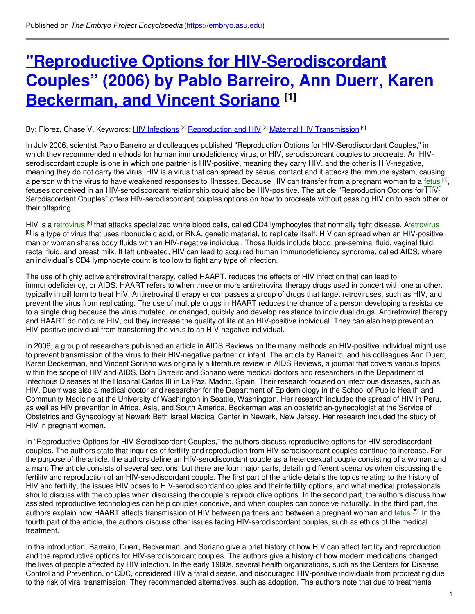# **"Reproductive Options for [HIV-Serodiscordant](https://embryo.asu.edu/pages/reproductive-options-hiv-serodiscordant-couples-2006-pablo-barreiro-ann-duerr-karen-beckerman) Couples" (2006) by Pablo Barreiro, Ann Duerr, Karen Beckerman, and Vincent Soriano [1]**

#### By: Florez, Chase V. Keywords: <u>HIV [Infections](https://embryo.asu.edu/keywords/hiv-infections)</u> <sup>[2]</sup> [Reproduction](https://embryo.asu.edu/keywords/reproduction-and-hiv) and HIV <sup>[3]</sup> Maternal HIV [Transmission](https://embryo.asu.edu/keywords/maternal-hiv-transmission) <sup>[4]</sup>

In July 2006, scientist Pablo Barreiro and colleagues published "Reproduction Options for HIV-Serodiscordant Couples," in which they recommended methods for human immunodeficiency virus, or HIV, serodiscordant couples to procreate. An HIVserodiscordant couple is one in which one partner is HIV-positive, meaning they carry HIV, and the other is HIV-negative, meaning they do not carry the virus. HIV is a virus that can spread by sexual contact and it attacks the immune system, causing a person with the virus to have weakened responses to illnesses. Because HIV can transfer from a pregnant woman to a [fetus](https://embryo.asu.edu/search?text=fetus) <sup>[5]</sup>, fetuses conceived in an HIV-serodiscordant relationship could also be HIV-positive. The article "Reproduction Options for HIV-Serodiscordant Couples" offers HIV-serodiscordant couples options on how to procreate without passing HIV on to each other or their offspring.

HIV is a [retrovirus](https://embryo.asu.edu/search?text=retrovirus) <sup>[6]</sup> that attacks specialized white blood cells, called CD4 lymphocytes that normally fight disease. [Aretrovirus](https://embryo.asu.edu/search?text=retrovirus) <sup>[6]</sup> is a type of virus that uses ribonucleic acid, or RNA, genetic material, to replicate itself. HIV can spread when an HIV-positive man or woman shares body fluids with an HIV-negative individual. Those fluids include blood, pre-seminal fluid, vaginal fluid, rectal fluid, and breast milk. If left untreated, HIV can lead to acquired human immunodeficiency syndrome, called AIDS, where an individual´s CD4 lymphocyte count is too low to fight any type of infection.

The use of highly active antiretroviral therapy, called HAART, reduces the effects of HIV infection that can lead to immunodeficiency, or AIDS. HAART refers to when three or more antiretroviral therapy drugs used in concert with one another, typically in pill form to treat HIV. Antiretroviral therapy encompasses a group of drugs that target retroviruses, such as HIV, and prevent the virus from replicating. The use of multiple drugs in HAART reduces the chance of a person developing a resistance to a single drug because the virus mutated, or changed, quickly and develop resistance to individual drugs. Antiretroviral therapy and HAART do not cure HIV, but they increase the quality of life of an HIV-positive individual. They can also help prevent an HIV-positive individual from transferring the virus to an HIV-negative individual.

In 2006, a group of researchers published an article in AIDS Reviews on the many methods an HIV-positive individual might use to prevent transmission of the virus to their HIV-negative partner or infant. The article by Barreiro, and his colleagues Ann Duerr, Karen Beckerman, and Vincent Soriano was originally a literature review in AIDS Reviews, a journal that covers various topics within the scope of HIV and AIDS. Both Barreiro and Soriano were medical doctors and researchers in the Department of Infectious Diseases at the Hospital Carlos III in La Paz, Madrid, Spain. Their research focused on infectious diseases, such as HIV. Duerr was also a medical doctor and researcher for the Department of Epidemiology in the School of Public Health and Community Medicine at the University of Washington in Seattle, Washington. Her research included the spread of HIV in Peru, as well as HIV prevention in Africa, Asia, and South America. Beckerman was an obstetrician-gynecologist at the Service of Obstetrics and Gynecology at Newark Beth Israel Medical Center in Newark, New Jersey. Her research included the study of HIV in pregnant women.

In "Reproductive Options for HIV-Serodiscordant Couples," the authors discuss reproductive options for HIV-serodiscordant couples. The authors state that inquiries of fertility and reproduction from HIV-serodiscordant couples continue to increase. For the purpose of the article, the authors define an HIV-serodiscordant couple as a heterosexual couple consisting of a woman and a man. The article consists of several sections, but there are four major parts, detailing different scenarios when discussing the fertility and reproduction of an HIV-serodiscordant couple. The first part of the article details the topics relating to the history of HIV and fertility, the issues HIV poses to HIV-serodiscordant couples and their fertility options, and what medical professionals should discuss with the couples when discussing the couple´s reproductive options. In the second part, the authors discuss how assisted reproductive technologies can help couples conceive, and when couples can conceive naturally. In the third part, the authors explain how HAART affects transmission of HIV between partners and between a pregnant woman and [fetus](https://embryo.asu.edu/search?text=fetus) <sup>[5]</sup>. In the fourth part of the article, the authors discuss other issues facing HIV-serodiscordant couples, such as ethics of the medical treatment.

In the introduction, Barreiro, Duerr, Beckerman, and Soriano give a brief history of how HIV can affect fertility and reproduction and the reproductive options for HIV-serodiscordant couples. The authors give a history of how modern medications changed the lives of people affected by HIV infection. In the early 1980s, several health organizations, such as the Centers for Disease Control and Prevention, or CDC, considered HIV a fatal disease, and discouraged HIV-positive individuals from procreating due to the risk of viral transmission. They recommended alternatives, such as adoption. The authors note that due to treatments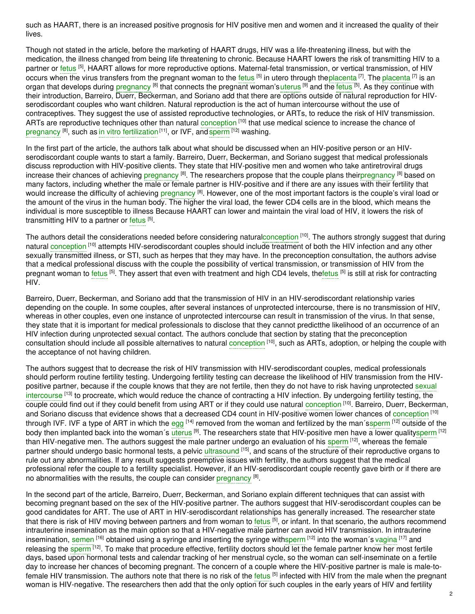such as HAART, there is an increased positive prognosis for HIV positive men and women and it increased the quality of their lives.

Though not stated in the article, before the marketing of HAART drugs, HIV was a life-threatening illness, but with the medication, the illness changed from being life threatening to chronic. Because HAART lowers the risk of transmitting HIV to a partner or [fetus](https://embryo.asu.edu/search?text=fetus) <sup>[5]</sup>, HAART allows for more reproductive options. Maternal-fetal transmission, or vertical transmission, of HIV occurs when the virus transfers from the pregnant woman to the [fetus](https://embryo.asu.edu/search?text=fetus) <sup>[5]</sup> in utero through the[placenta](https://embryo.asu.edu/search?text=placenta) <sup>[7]</sup>. The placenta <sup>[7]</sup> is an organ that develops during [pregnancy](https://embryo.asu.edu/search?text=pregnancy) <sup>[8]</sup> that connects the pregnant woman's [uterus](https://embryo.asu.edu/search?text=uterus) <sup>[9]</sup> and the [fetus](https://embryo.asu.edu/search?text=fetus) <sup>[5]</sup>. As they continue with their introduction, Barreiro, Duerr, Beckerman, and Soriano add that there are options outside of natural reproduction for HIVserodiscordant couples who want children. Natural reproduction is the act of human intercourse without the use of contraceptives. They suggest the use of assisted reproductive technologies, or ARTs, to reduce the risk of HIV transmission. ARTs are reproductive techniques other than natural [conception](https://embryo.asu.edu/search?text=conception) [10] that use medical science to increase the chance of [pregnancy](https://embryo.asu.edu/search?text=pregnancy) <sup>[8]</sup>, such as in vitro [fertilization](https://embryo.asu.edu/search?text=in%20vitro%20fertilization)<sup>[11]</sup>, or IVF, and [sperm](https://embryo.asu.edu/search?text=sperm) <sup>[12]</sup> washing.

In the first part of the article, the authors talk about what should be discussed when an HIV-positive person or an HIVserodiscordant couple wants to start a family. Barreiro, Duerr, Beckerman, and Soriano suggest that medical professionals discuss reproduction with HIV-positive clients. They state that HIV-positive men and women who take antiretroviral drugs increase their chances of achieving [pregnancy](https://embryo.asu.edu/search?text=pregnancy) <sup>[8]</sup>. The researchers propose that the couple plans thei[rpregnancy](https://embryo.asu.edu/search?text=pregnancy) <sup>[8]</sup> based on many factors, including whether the male or female partner is HIV-positive and if there are any issues with their fertility that would increase the difficulty of achieving [pregnancy](https://embryo.asu.edu/search?text=pregnancy) <sup>[8]</sup>. However, one of the most important factors is the couple's viral load or the amount of the virus in the human body. The higher the viral load, the fewer CD4 cells are in the blood, which means the individual is more susceptible to illness Because HAART can lower and maintain the viral load of HIV, it lowers the risk of transmitting HIV to a partner or [fetus](https://embryo.asu.edu/search?text=fetus) [5].

The authors detail the considerations needed before considering natura[lconception](https://embryo.asu.edu/search?text=conception) <sup>[10]</sup>. The authors strongly suggest that during natural [conception](https://embryo.asu.edu/search?text=conception) <sup>[10]</sup> attempts HIV-serodiscordant couples should include treatment of both the HIV infection and any other sexually transmitted illness, or STI, such as herpes that they may have. In the preconception consultation, the authors advise that a medical professional discuss with the couple the possibility of vertical transmission, or transmission of HIV from the pregnant woman to [fetus](https://embryo.asu.edu/search?text=fetus) <sup>[5]</sup>. They assert that even with treatment and high CD4 levels, thefetus <sup>[5]</sup> is still at risk for contracting HIV.

Barreiro, Duerr, Beckerman, and Soriano add that the transmission of HIV in an HIV-serodiscordant relationship varies depending on the couple. In some couples, after several instances of unprotected intercourse, there is no transmission of HIV, whereas in other couples, even one instance of unprotected intercourse can result in transmission of the virus. In that sense, they state that it is important for medical professionals to disclose that they cannot predictthe likelihood of an occurrence of an HIV infection during unprotected sexual contact. The authors conclude that section by stating that the preconception consultation should include all possible alternatives to natural [conception](https://embryo.asu.edu/search?text=conception) <sup>[10]</sup>, such as ARTs, adoption, or helping the couple with the acceptance of not having children.

The authors suggest that to decrease the risk of HIV transmission with HIV-serodiscordant couples, medical professionals should perform routine fertility testing. Undergoing fertility testing can decrease the likelihood of HIV transmission from the HIVpositive partner, because if the couple knows that they are not fertile, then they do not have to risk having [unprotected](https://embryo.asu.edu/search?text=sexual%20intercourse) sexual intercourse <sup>[13]</sup> to procreate, which would reduce the chance of contracting a HIV infection. By undergoing fertility testing, the couple could find out if they could benefit from using ART or if they could use natural [conception](https://embryo.asu.edu/search?text=conception) <sup>[10]</sup>. Barreiro, Duerr, Beckerman, and Soriano discuss that evidence shows that a decreased CD4 count in HIV-positive women lower chances of [conception](https://embryo.asu.edu/search?text=conception) <sup>[10]</sup> through IVF. IVF a type of ART in which the [egg](https://embryo.asu.edu/search?text=egg) <sup>[14]</sup> removed from the woman and fertilized by the man´[ssperm](https://embryo.asu.edu/search?text=sperm) <sup>[12]</sup> outside of the body then implanted back into the woman´s [uterus](https://embryo.asu.edu/search?text=uterus) <sup>[9]</sup>. The researchers state that HIV-positive men have a lower qualit[ysperm](https://embryo.asu.edu/search?text=sperm) <sup>[12]</sup> than HIV-negative men. The authors suggest the male partner undergo an evaluation of his [sperm](https://embryo.asu.edu/search?text=sperm) <sup>[12]</sup>, whereas the female partner should undergo basic hormonal tests, a pelvic [ultrasound](https://embryo.asu.edu/search?text=ultrasound) <sup>[15]</sup>, and scans of the structure of their reproductive organs to rule out any abnormalities. If any result suggests preemptive issues with fertility, the authors suggest that the medical professional refer the couple to a fertility specialist. However, if an HIV-serodiscordant couple recently gave birth or if there are no abnormalities with the results, the couple can consider [pregnancy](https://embryo.asu.edu/search?text=pregnancy) <sup>[8]</sup>.

In the second part of the article, Barreiro, Duerr, Beckerman, and Soriano explain different techniques that can assist with becoming pregnant based on the sex of the HIV-positive partner. The authors suggest that HIV-serodiscordant couples can be good candidates for ART. The use of ART in HIV-serodiscordant relationships has generally increased. The researcher state that there is risk of HIV moving between partners and from woman to [fetus](https://embryo.asu.edu/search?text=fetus) [5], or infant. In that scenario, the authors recommend intrauterine insemination as the main option so that a HIV-negative male partner can avoid HIV transmission. In intrauterine insemination, [semen](https://embryo.asu.edu/search?text=semen) <sup>[16]</sup> obtained using a syringe and inserting the syringe with[sperm](https://embryo.asu.edu/search?text=sperm) <sup>[12]</sup> into the woman´s [vagina](https://embryo.asu.edu/search?text=vagina) <sup>[17]</sup> and releasing the [sperm](https://embryo.asu.edu/search?text=sperm) <sup>[12]</sup>. To make that procedure effective, fertility doctors should let the female partner know her most fertile days, based upon hormonal tests and calendar tracking of her menstrual cycle, so the woman can self-inseminate on a fertile day to increase her chances of becoming pregnant. The concern of a couple where the HIV-positive partner is male is male-tofemale HIV transmission. The authors note that there is no risk of the [fetus](https://embryo.asu.edu/search?text=fetus) <sup>[5]</sup> infected with HIV from the male when the pregnant woman is HIV-negative. The researchers then add that the only option for such couples in the early years of HIV and fertility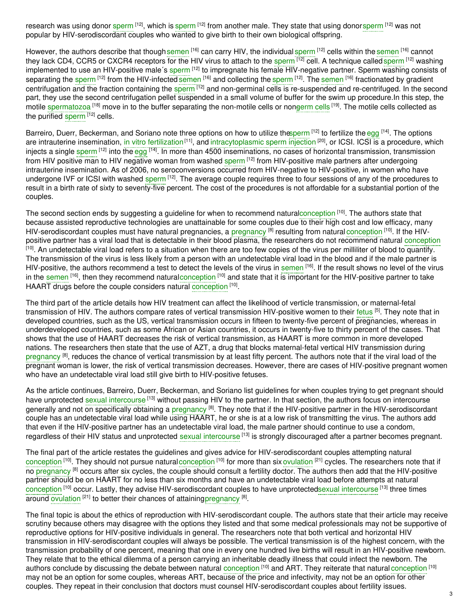research was using donor [sperm](https://embryo.asu.edu/search?text=sperm) <sup>[12]</sup>, which is sperm <sup>[12]</sup> from another male. They state that using donorsperm <sup>[12]</sup> was not popular by HIV-serodiscordant couples who wanted to give birth to their own biological offspring.

However, the authors describe that though [semen](https://embryo.asu.edu/search?text=semen) <sup>[16]</sup> can carry HIV, the individual [sperm](https://embryo.asu.edu/search?text=sperm) <sup>[12]</sup> cells within the semen <sup>[16]</sup> cannot they lack CD4, CCR5 or CXCR4 receptors for the HIV virus to attach to the [sperm](https://embryo.asu.edu/search?text=sperm) [12] cell. A technique called sperm [12] washing implemented to use an HIV-positive male´s [sperm](https://embryo.asu.edu/search?text=sperm) <sup>[12]</sup> to impregnate his female HIV-negative partner. Sperm washing consists of separating the [sperm](https://embryo.asu.edu/search?text=sperm) <sup>[12]</sup> from the HIV-infected [semen](https://embryo.asu.edu/search?text=semen) <sup>[16]</sup> and collecting the sperm <sup>[12]</sup>. The semen <sup>[16]</sup> fractionated by gradient centrifugation and the fraction containing the [sperm](https://embryo.asu.edu/search?text=sperm) [12] and non-germinal cells is re-suspended and re-centrifuged. In the second part, they use the second centrifugation pellet suspended in a small volume of buffer for the swim up procedure. In this step, the motile [spermatozoa](https://embryo.asu.edu/search?text=spermatozoa) <sup>[18]</sup> move in to the buffer separating the non-motile [cells](https://embryo.asu.edu/search?text=germ%20cells) or nongerm cells <sup>[19]</sup>. The motile cells collected as the purified [sperm](https://embryo.asu.edu/search?text=sperm)  $[12]$  cells.

Barreiro, Duerr, Beckerman, and Soriano note three options on how to utilize th[esperm](https://embryo.asu.edu/search?text=sperm) [12] to fertilize the [egg](https://embryo.asu.edu/search?text=egg) [14]. The options are intrauterine insemination, in vitro [fertilization](https://embryo.asu.edu/search?text=in%20vitro%20fertilization)<sup>[11]</sup>, and [intracytoplasmic](https://embryo.asu.edu/search?text=intracytoplasmic%20sperm%20injection) sperm injection <sup>[20]</sup>, or ICSI. ICSI is a procedure, which injects a single [sperm](https://embryo.asu.edu/search?text=sperm) <sup>[12]</sup> into the [egg](https://embryo.asu.edu/search?text=egg) <sup>[14]</sup>. In more than 4500 inseminations, no cases of horizontal transmission, transmission from HIV positive man to HIV negative woman from washed [sperm](https://embryo.asu.edu/search?text=sperm) <sup>[12]</sup> from HIV-positive male partners after undergoing intrauterine insemination. As of 2006, no seroconversions occurred from HIV-negative to HIV-positive, in women who have undergone IVF or ICSI with washed [sperm](https://embryo.asu.edu/search?text=sperm) <sup>[12]</sup>. The average couple requires three to four sessions of any of the procedures to result in a birth rate of sixty to seventy-five percent. The cost of the procedures is not affordable for a substantial portion of the couples.

The second section ends by suggesting a guideline for when to recommend natura[lconception](https://embryo.asu.edu/search?text=conception) <sup>[10]</sup>. The authors state that because assisted reproductive technologies are unattainable for some couples due to their high cost and low efficacy, many HIV-serodiscordant couples must have natural pregnancies, a [pregnancy](https://embryo.asu.edu/search?text=pregnancy) <sup>[8]</sup> resulting from natural [conception](https://embryo.asu.edu/search?text=conception) <sup>[10]</sup>. If the HIVpositive partner has a viral load that is detectable in their blood plasma, the researchers do not recommend natural [conception](https://embryo.asu.edu/search?text=conception) <sup>[10]</sup>. An undetectable viral load refers to a situation when there are too few copies of the virus per milliliter of blood to quantify. The transmission of the virus is less likely from a person with an undetectable viral load in the blood and if the male partner is HIV-positive, the authors recommend a test to detect the levels of the virus in [semen](https://embryo.asu.edu/search?text=semen) <sup>[16]</sup>. If the result shows no level of the virus in the [semen](https://embryo.asu.edu/search?text=semen) <sup>[16]</sup>, then they recommend natural[conception](https://embryo.asu.edu/search?text=conception) <sup>[10]</sup> and state that it is important for the HIV-positive partner to take HAART drugs before the couple considers natural [conception](https://embryo.asu.edu/search?text=conception) [10].

The third part of the article details how HIV treatment can affect the likelihood of verticle transmission, or maternal-fetal transmission of HIV. The authors compare rates of vertical transmission HIV-positive women to their [fetus](https://embryo.asu.edu/search?text=fetus) <sup>[5]</sup>. They note that in developed countries, such as the US, vertical transmission occurs in fifteen to twenty-five percent of pregnancies, whereas in underdeveloped countries, such as some African or Asian countries, it occurs in twenty-five to thirty percent of the cases. That shows that the use of HAART decreases the risk of vertical transmission, as HAART is more common in more developed nations. The researchers then state that the use of AZT, a drug that blocks maternal-fetal vertical HIV transmission during [pregnancy](https://embryo.asu.edu/search?text=pregnancy) <sup>[8]</sup>, reduces the chance of vertical transmission by at least fifty percent. The authors note that if the viral load of the pregnant woman is lower, the risk of vertical transmission decreases. However, there are cases of HIV-positive pregnant women who have an undetectable viral load still give birth to HIV-positive fetuses.

As the article continues, Barreiro, Duerr, Beckerman, and Soriano list guidelines for when couples trying to get pregnant should have unprotected sexual [intercourse](https://embryo.asu.edu/search?text=sexual%20intercourse) <sup>[13]</sup> without passing HIV to the partner. In that section, the authors focus on intercourse generally and not on specifically obtaining a [pregnancy](https://embryo.asu.edu/search?text=pregnancy) <sup>[8]</sup>. They note that if the HIV-positive partner in the HIV-serodiscordant couple has an undetectable viral load while using HAART, he or she is at a low risk of transmitting the virus. The authors add that even if the HIV-positive partner has an undetectable viral load, the male partner should continue to use a condom, regardless of their HIV status and unprotected sexual [intercourse](https://embryo.asu.edu/search?text=sexual%20intercourse) <sup>[13]</sup> is strongly discouraged after a partner becomes pregnant.

The final part of the article restates the guidelines and gives advice for HIV-serodiscordant couples attempting natural [conception](https://embryo.asu.edu/search?text=conception) <sup>[10]</sup>. They should not pursue natural conception <sup>[10]</sup> for more than six [ovulation](https://embryo.asu.edu/search?text=ovulation) <sup>[21]</sup> cycles. The researchers note that if no [pregnancy](https://embryo.asu.edu/search?text=pregnancy) <sup>[8]</sup> occurs after six cycles, the couple should consult a fertility doctor. The authors then add that the HIV-positive partner should be on HAART for no less than six months and have an undetectable viral load before attempts at natural [conception](https://embryo.asu.edu/search?text=conception) <sup>[10]</sup> occur. Lastly, they advise HIV-serodiscordant couples to have unprotectedsexual [intercourse](https://embryo.asu.edu/search?text=sexual%20intercourse) <sup>[13]</sup> three times around [ovulation](https://embryo.asu.edu/search?text=ovulation) <sup>[21]</sup> to better their chances of attaining [pregnancy](https://embryo.asu.edu/search?text=pregnancy) <sup>[8]</sup>.

The final topic is about the ethics of reproduction with HIV-serodiscordant couple. The authors state that their article may receive scrutiny because others may disagree with the options they listed and that some medical professionals may not be supportive of reproductive options for HIV-positive individuals in general. The researchers note that both vertical and horizontal HIV transmission in HIV-serodiscordant couples will always be possible. The vertical transmission is of the highest concern, with the transmission probability of one percent, meaning that one in every one hundred live births will result in an HIV-positive newborn. They relate that to the ethical dilemma of a person carrying an inheritable deadly illness that could infect the newborn. The authors conclude by discussing the debate between natural [conception](https://embryo.asu.edu/search?text=conception) <sup>[10]</sup> and ART. They reiterate that natural conception <sup>[10]</sup> may not be an option for some couples, whereas ART, because of the price and infectivity, may not be an option for other couples. They repeat in their conclusion that doctors must counsel HIV-serodiscordant couples about fertility issues.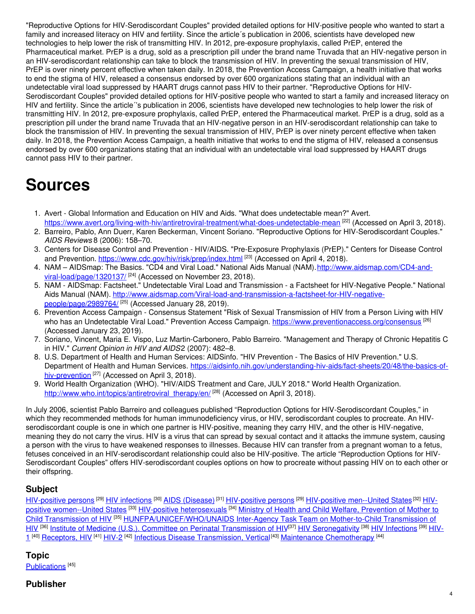"Reproductive Options for HIV-Serodiscordant Couples" provided detailed options for HIV-positive people who wanted to start a family and increased literacy on HIV and fertility. Since the article´s publication in 2006, scientists have developed new technologies to help lower the risk of transmitting HIV. In 2012, pre-exposure prophylaxis, called PrEP, entered the Pharmaceutical market. PrEP is a drug, sold as a prescription pill under the brand name Truvada that an HIV-negative person in an HIV-serodiscordant relationship can take to block the transmission of HIV. In preventing the sexual transmission of HIV, PrEP is over ninety percent effective when taken daily. In 2018, the Prevention Access Campaign, a health initiative that works to end the stigma of HIV, released a consensus endorsed by over 600 organizations stating that an individual with an undetectable viral load suppressed by HAART drugs cannot pass HIV to their partner. "Reproductive Options for HIV-Serodiscordant Couples" provided detailed options for HIV-positive people who wanted to start a family and increased literacy on HIV and fertility. Since the article´'s publication in 2006, scientists have developed new technologies to help lower the risk of transmitting HIV. In 2012, pre-exposure prophylaxis, called PrEP, entered the Pharmaceutical market. PrEP is a drug, sold as a prescription pill under the brand name Truvada that an HIV-negative person in an HIV-serodiscordant relationship can take to block the transmission of HIV. In preventing the sexual transmission of HIV, PrEP is over ninety percent effective when taken daily. In 2018, the Prevention Access Campaign, a health initiative that works to end the stigma of HIV, released a consensus endorsed by over 600 organizations stating that an individual with an undetectable viral load suppressed by HAART drugs cannot pass HIV to their partner.

## **Sources**

- 1. Avert Global Information and Education on HIV and Aids. "What does undetectable mean?" Avert. <https://www.avert.org/living-with-hiv/antiretroviral-treatment/what-does-undetectable-mean> [22] (Accessed on April 3, 2018).
- 2. Barreiro, Pablo, Ann Duerr, Karen Beckerman, Vincent Soriano. "Reproductive Options for HIV-Serodiscordant Couples." *AIDS Reviews* 8 (2006): 158–70.
- 3. Centers for Disease Control and Prevention HIV/AIDS. "Pre-Exposure Prophylaxis (PrEP)." Centers for Disease Control and Prevention. <https://www.cdc.gov/hiv/risk/prep/index.html> <sup>[23]</sup> (Accessed on April 4, 2018).
- 4. NAM AIDSmap: The Basics. "CD4 and Viral Load." National Aids Manual (NAM). http://www.aidsmap.com/CD4-andviral-load/page/1320137/<sup>[24]</sup> (Accessed on November 23, 2018).
- 5. NAM AIDSmap: Factsheet." Undetectable Viral Load and Transmission a Factsheet for HIV-Negative People." National Aids Manual (NAM). [http://www.aidsmap.com/Viral-load-and-transmission-a-factsheet-for-HIV-negative](http://www.aidsmap.com/Viral-load-and-transmission-a-factsheet-for-HIV-negative-people/page/2989764/)people/page/2989764/ [25] (Accessed January 28, 2019).
- 6. Prevention Access Campaign Consensus Statement "Risk of Sexual Transmission of HIV from a Person Living with HIV who has an Undetectable Viral Load." Prevention Access Campaign. <https://www.preventionaccess.org/consensus> <sup>[26]</sup> (Accessed January 23, 2019).
- 7. Soriano, Vincent, Maria E. Vispo, Luz Martin-Carbonero, Pablo Barreiro. "Management and Therapy of Chronic Hepatitis C in HIV." *Current Opinion in HIV and AIDS*2 (2007): 482–8.
- 8. U.S. Department of Health and Human Services: AIDSinfo. "HIV Prevention The Basics of HIV Prevention." U.S. Department of Health and Human Services. [https://aidsinfo.nih.gov/understanding-hiv-aids/fact-sheets/20/48/the-basics-of](https://aidsinfo.nih.gov/understanding-hiv-aids/fact-sheets/20/48/the-basics-of-hiv-prevention)hiv-prevention<sup>[27]</sup> (Accessed on April 3, 2018).
- 9. World Health Organization (WHO). "HIV/AIDS Treatment and Care, JULY 2018." World Health Organization. [http://www.who.int/topics/antiretroviral\\_therapy/en/](http://www.who.int/topics/antiretroviral_therapy/en/) [28] (Accessed on April 3, 2018).

In July 2006, scientist Pablo Barreiro and colleagues published "Reproduction Options for HIV-Serodiscordant Couples," in which they recommended methods for human immunodeficiency virus, or HIV, serodiscordant couples to procreate. An HIVserodiscordant couple is one in which one partner is HIV-positive, meaning they carry HIV, and the other is HIV-negative, meaning they do not carry the virus. HIV is a virus that can spread by sexual contact and it attacks the immune system, causing a person with the virus to have weakened responses to illnesses. Because HIV can transfer from a pregnant woman to a fetus, fetuses conceived in an HIV-serodiscordant relationship could also be HIV-positive. The article "Reproduction Options for HIV-Serodiscordant Couples" offers HIV-serodiscordant couples options on how to procreate without passing HIV on to each other or their offspring.

## **Subject**

[HIV-positive](https://embryo.asu.edu/library-congress-subject-headings/hiv-positive-persons) persons <sup>[29]</sup> HIV [infections](https://embryo.asu.edu/library-congress-subject-headings/hiv-infections) <sup>[30]</sup> AIDS [\(Disease\)](https://embryo.asu.edu/library-congress-subject-headings/aids-disease) <sup>[31]</sup> HIV-positive persons <sup>[29]</sup> HIV-positive [men--United](https://embryo.asu.edu/library-congress-subject-headings/hiv-positive-men-united-states) States <sup>[32]</sup> HIVpositive [women--United](https://embryo.asu.edu/library-congress-subject-headings/hiv-positive-women-united-states) States <sup>[33]</sup> HIV-positive [heterosexuals](https://embryo.asu.edu/library-congress-subject-headings/hiv-positive-heterosexuals) <sup>[34]</sup> Ministry of Health and Child Welfare, Prevention of Mother to Child Transmission of HIV <sup>[35]</sup> [HUNFPA/UNICEF/WHO/UNAIDS](https://embryo.asu.edu/library-congress-subject-headings/hunfpaunicefwhounaids-inter-agency-task-team-mother-child) Inter-Agency Task Team on Mother-to-Child Transmission of HIV <sup>[36]</sup> Institute of Medicine (U.S.). Committee on Perinatal [Transmission](https://embryo.asu.edu/library-congress-subject-headings/institute-medicine-us-committee-perinatal-transmission-hiv) of HIV<sup>[37]</sup> HIV [Seronegativity](https://embryo.asu.edu/medical-subject-headings/hiv-1) <sup>[38]</sup> HIV [Infections](https://embryo.asu.edu/medical-subject-headings/hiv-infections) <sup>[39]</sup> HIV-<u>1 [40] [Receptors,](https://embryo.asu.edu/medical-subject-headings/receptors-hiv) HIV [41] [HIV-2](https://embryo.asu.edu/medical-subject-headings/hiv-2) [42] Infectious Disease [Transmission,](https://embryo.asu.edu/medical-subject-headings/infectious-disease-transmission-vertical) Vertical [43] Maintenance [Chemotherapy](https://embryo.asu.edu/medical-subject-headings/maintenance-chemotherapy) [44] </u>

## **Topic**

[Publications](https://embryo.asu.edu/topics/publications)<sup>[45]</sup>

## **Publisher**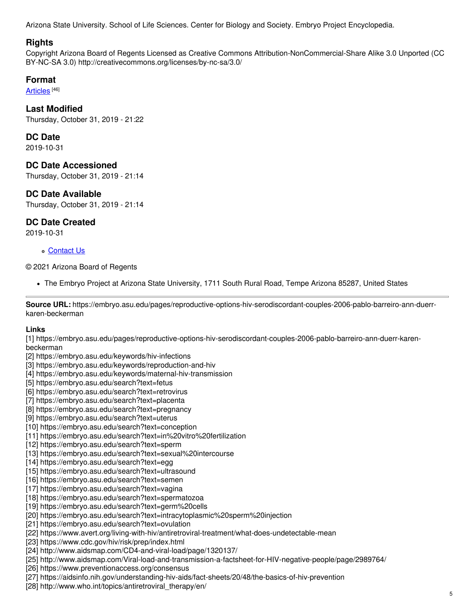Arizona State University. School of Life Sciences. Center for Biology and Society. Embryo Project Encyclopedia.

#### **Rights**

Copyright Arizona Board of Regents Licensed as Creative Commons Attribution-NonCommercial-Share Alike 3.0 Unported (CC BY-NC-SA 3.0) http://creativecommons.org/licenses/by-nc-sa/3.0/

#### **Format**

<u>[Articles](https://embryo.asu.edu/formats/articles)</u> [<sup>46]</sup>

## **Last Modified**

Thursday, October 31, 2019 - 21:22

#### **DC Date**

2019-10-31

## **DC Date Accessioned**

Thursday, October 31, 2019 - 21:14

## **DC Date Available**

Thursday, October 31, 2019 - 21:14

## **DC Date Created**

2019-10-31

#### [Contact](https://embryo.asu.edu/contact) Us

#### © 2021 Arizona Board of Regents

The Embryo Project at Arizona State University, 1711 South Rural Road, Tempe Arizona 85287, United States

**Source URL:** https://embryo.asu.edu/pages/reproductive-options-hiv-serodiscordant-couples-2006-pablo-barreiro-ann-duerrkaren-beckerman

#### **Links**

[1] https://embryo.asu.edu/pages/reproductive-options-hiv-serodiscordant-couples-2006-pablo-barreiro-ann-duerr-karenbeckerman

- [2] https://embryo.asu.edu/keywords/hiv-infections
- [3] https://embryo.asu.edu/keywords/reproduction-and-hiv
- [4] https://embryo.asu.edu/keywords/maternal-hiv-transmission
- [5] https://embryo.asu.edu/search?text=fetus
- [6] https://embryo.asu.edu/search?text=retrovirus
- [7] https://embryo.asu.edu/search?text=placenta
- [8] https://embryo.asu.edu/search?text=pregnancy
- [9] https://embryo.asu.edu/search?text=uterus
- [10] https://embryo.asu.edu/search?text=conception
- [11] https://embryo.asu.edu/search?text=in%20vitro%20fertilization
- [12] https://embryo.asu.edu/search?text=sperm
- [13] https://embryo.asu.edu/search?text=sexual%20intercourse
- [14] https://embryo.asu.edu/search?text=egg
- [15] https://embryo.asu.edu/search?text=ultrasound
- [16] https://embryo.asu.edu/search?text=semen
- [17] https://embryo.asu.edu/search?text=vagina
- [18] https://embryo.asu.edu/search?text=spermatozoa
- [19] https://embryo.asu.edu/search?text=germ%20cells
- [20] https://embryo.asu.edu/search?text=intracytoplasmic%20sperm%20injection
- [21] https://embryo.asu.edu/search?text=ovulation
- [22] https://www.avert.org/living-with-hiv/antiretroviral-treatment/what-does-undetectable-mean
- [23] https://www.cdc.gov/hiv/risk/prep/index.html
- [24] http://www.aidsmap.com/CD4-and-viral-load/page/1320137/
- [25] http://www.aidsmap.com/Viral-load-and-transmission-a-factsheet-for-HIV-negative-people/page/2989764/
- [26] https://www.preventionaccess.org/consensus
- [27] https://aidsinfo.nih.gov/understanding-hiv-aids/fact-sheets/20/48/the-basics-of-hiv-prevention
- [28] http://www.who.int/topics/antiretroviral\_therapy/en/